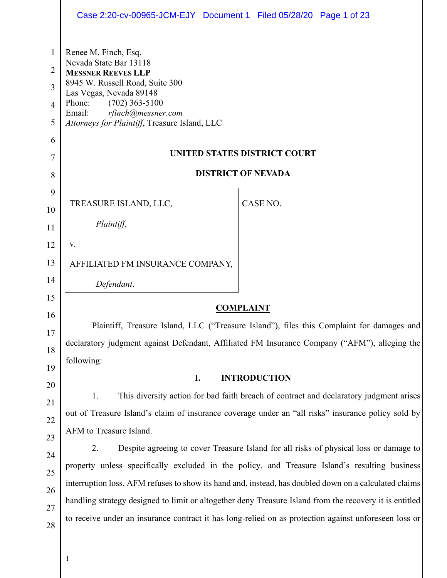|                                         | Case 2:20-cv-00965-JCM-EJY Document 1 Filed 05/28/20 Page 1 of 23                                                                                                                                                                                        |  |  |
|-----------------------------------------|----------------------------------------------------------------------------------------------------------------------------------------------------------------------------------------------------------------------------------------------------------|--|--|
| 1<br>2<br>3<br>$\overline{4}$<br>5<br>6 | Renee M. Finch, Esq.<br>Nevada State Bar 13118<br><b>MESSNER REEVES LLP</b><br>8945 W. Russell Road, Suite 300<br>Las Vegas, Nevada 89148<br>Phone:<br>$(702)$ 363-5100<br>rfinch@messner.com<br>Email:<br>Attorneys for Plaintiff, Treasure Island, LLC |  |  |
| 7                                       | UNITED STATES DISTRICT COURT                                                                                                                                                                                                                             |  |  |
| 8                                       | <b>DISTRICT OF NEVADA</b>                                                                                                                                                                                                                                |  |  |
| 9                                       |                                                                                                                                                                                                                                                          |  |  |
| 10                                      | CASE NO.<br>TREASURE ISLAND, LLC,                                                                                                                                                                                                                        |  |  |
| 11                                      | Plaintiff,                                                                                                                                                                                                                                               |  |  |
| 12                                      | V.                                                                                                                                                                                                                                                       |  |  |
| 13                                      | AFFILIATED FM INSURANCE COMPANY,                                                                                                                                                                                                                         |  |  |
| 14                                      | Defendant.                                                                                                                                                                                                                                               |  |  |
| 15                                      | <b>COMPLAINT</b>                                                                                                                                                                                                                                         |  |  |
| 16                                      | Plaintiff, Treasure Island, LLC ("Treasure Island"), files this Complaint for damages and                                                                                                                                                                |  |  |
| 17                                      | declaratory judgment against Defendant, Affiliated FM Insurance Company ("AFM"), alleging the                                                                                                                                                            |  |  |
| 18                                      | following:                                                                                                                                                                                                                                               |  |  |
| 19                                      | <b>INTRODUCTION</b><br>I.                                                                                                                                                                                                                                |  |  |
| 20                                      | 1.<br>This diversity action for bad faith breach of contract and declaratory judgment arises                                                                                                                                                             |  |  |
| 21                                      | out of Treasure Island's claim of insurance coverage under an "all risks" insurance policy sold by                                                                                                                                                       |  |  |
| 22<br>23                                | AFM to Treasure Island.                                                                                                                                                                                                                                  |  |  |
| 24                                      | 2.<br>Despite agreeing to cover Treasure Island for all risks of physical loss or damage to                                                                                                                                                              |  |  |
| 25                                      | property unless specifically excluded in the policy, and Treasure Island's resulting business                                                                                                                                                            |  |  |
| 26                                      | interruption loss, AFM refuses to show its hand and, instead, has doubled down on a calculated claims                                                                                                                                                    |  |  |
| 27                                      | handling strategy designed to limit or altogether deny Treasure Island from the recovery it is entitled                                                                                                                                                  |  |  |
| 28                                      | to receive under an insurance contract it has long-relied on as protection against unforeseen loss or                                                                                                                                                    |  |  |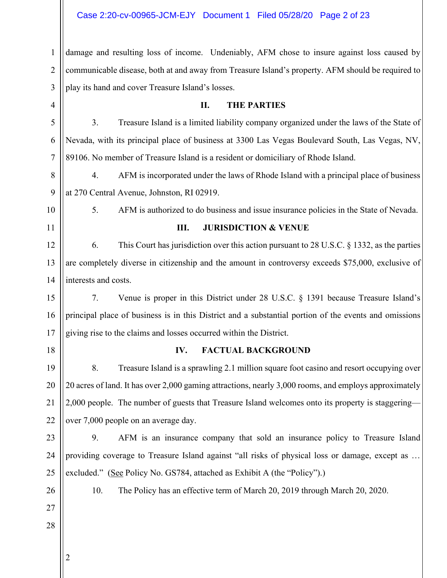#### Case 2:20-cv-00965-JCM-EJY Document 1 Filed 05/28/20 Page 2 of 23

1 2 3 damage and resulting loss of income. Undeniably, AFM chose to insure against loss caused by communicable disease, both at and away from Treasure Island's property. AFM should be required to play its hand and cover Treasure Island's losses.

4 5 6 7 8 **II. THE PARTIES** 3. Treasure Island is a limited liability company organized under the laws of the State of Nevada, with its principal place of business at 3300 Las Vegas Boulevard South, Las Vegas, NV, 89106. No member of Treasure Island is a resident or domiciliary of Rhode Island.

9 4. AFM is incorporated under the laws of Rhode Island with a principal place of business at 270 Central Avenue, Johnston, RI 02919.

- 10
- 11
	-

#### **III. JURISDICTION & VENUE**

5. AFM is authorized to do business and issue insurance policies in the State of Nevada.

12 13 14 6. This Court has jurisdiction over this action pursuant to 28 U.S.C. § 1332, as the parties are completely diverse in citizenship and the amount in controversy exceeds \$75,000, exclusive of interests and costs.

15 16 17 7. Venue is proper in this District under 28 U.S.C. § 1391 because Treasure Island's principal place of business is in this District and a substantial portion of the events and omissions giving rise to the claims and losses occurred within the District.

18

#### **IV. FACTUAL BACKGROUND**

19 20 21 22 8. Treasure Island is a sprawling 2.1 million square foot casino and resort occupying over 20 acres of land. It has over 2,000 gaming attractions, nearly 3,000 rooms, and employs approximately 2,000 people. The number of guests that Treasure Island welcomes onto its property is staggering over 7,000 people on an average day.

23 24 25

9. AFM is an insurance company that sold an insurance policy to Treasure Island providing coverage to Treasure Island against "all risks of physical loss or damage, except as … excluded." (See Policy No. GS784, attached as Exhibit A (the "Policy").)

26

10. The Policy has an effective term of March 20, 2019 through March 20, 2020.

27

28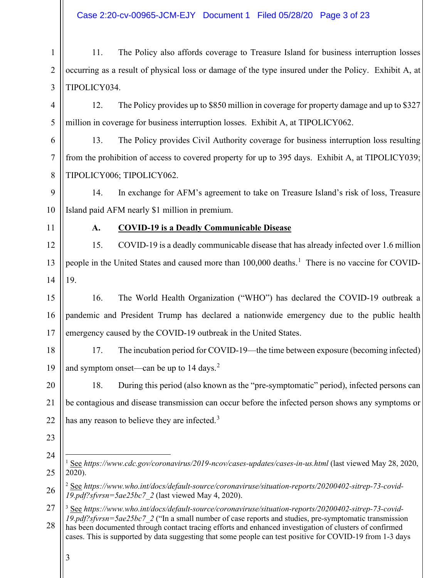<span id="page-2-2"></span><span id="page-2-1"></span><span id="page-2-0"></span>

| 1              | 11.                                                                                                                                                                                                                                                                                                                                                                                                                                                 | The Policy also affords coverage to Treasure Island for business interruption losses                    |  |
|----------------|-----------------------------------------------------------------------------------------------------------------------------------------------------------------------------------------------------------------------------------------------------------------------------------------------------------------------------------------------------------------------------------------------------------------------------------------------------|---------------------------------------------------------------------------------------------------------|--|
| $\overline{2}$ | occurring as a result of physical loss or damage of the type insured under the Policy. Exhibit A, at                                                                                                                                                                                                                                                                                                                                                |                                                                                                         |  |
| 3              | TIPOLICY034.                                                                                                                                                                                                                                                                                                                                                                                                                                        |                                                                                                         |  |
| 4              | 12.<br>The Policy provides up to \$850 million in coverage for property damage and up to \$327                                                                                                                                                                                                                                                                                                                                                      |                                                                                                         |  |
| 5              |                                                                                                                                                                                                                                                                                                                                                                                                                                                     | million in coverage for business interruption losses. Exhibit A, at TIPOLICY062.                        |  |
| 6              | 13.                                                                                                                                                                                                                                                                                                                                                                                                                                                 | The Policy provides Civil Authority coverage for business interruption loss resulting                   |  |
| 7              |                                                                                                                                                                                                                                                                                                                                                                                                                                                     | from the prohibition of access to covered property for up to 395 days. Exhibit A, at TIPOLICY039;       |  |
| 8              |                                                                                                                                                                                                                                                                                                                                                                                                                                                     | TIPOLICY006; TIPOLICY062.                                                                               |  |
| 9              | 14.                                                                                                                                                                                                                                                                                                                                                                                                                                                 | In exchange for AFM's agreement to take on Treasure Island's risk of loss, Treasure                     |  |
| 10             |                                                                                                                                                                                                                                                                                                                                                                                                                                                     | Island paid AFM nearly \$1 million in premium.                                                          |  |
| 11             | A.                                                                                                                                                                                                                                                                                                                                                                                                                                                  | <b>COVID-19 is a Deadly Communicable Disease</b>                                                        |  |
| 12             | 15.                                                                                                                                                                                                                                                                                                                                                                                                                                                 | COVID-19 is a deadly communicable disease that has already infected over 1.6 million                    |  |
| 13             | people in the United States and caused more than 100,000 deaths. <sup>1</sup> There is no vaccine for COVID-                                                                                                                                                                                                                                                                                                                                        |                                                                                                         |  |
| 14             | 19.                                                                                                                                                                                                                                                                                                                                                                                                                                                 |                                                                                                         |  |
| 15             | 16.                                                                                                                                                                                                                                                                                                                                                                                                                                                 | The World Health Organization ("WHO") has declared the COVID-19 outbreak a                              |  |
| 16             |                                                                                                                                                                                                                                                                                                                                                                                                                                                     | pandemic and President Trump has declared a nationwide emergency due to the public health               |  |
| 17             | emergency caused by the COVID-19 outbreak in the United States.                                                                                                                                                                                                                                                                                                                                                                                     |                                                                                                         |  |
| 18             | 17.                                                                                                                                                                                                                                                                                                                                                                                                                                                 | The incubation period for COVID-19—the time between exposure (becoming infected)                        |  |
| 19             | and symptom onset—can be up to 14 days. <sup>2</sup>                                                                                                                                                                                                                                                                                                                                                                                                |                                                                                                         |  |
| 20             | 18.<br>During this period (also known as the "pre-symptomatic" period), infected persons can                                                                                                                                                                                                                                                                                                                                                        |                                                                                                         |  |
| 21             | be contagious and disease transmission can occur before the infected person shows any symptoms or                                                                                                                                                                                                                                                                                                                                                   |                                                                                                         |  |
| 22             | has any reason to believe they are infected. <sup>3</sup>                                                                                                                                                                                                                                                                                                                                                                                           |                                                                                                         |  |
| 23             |                                                                                                                                                                                                                                                                                                                                                                                                                                                     |                                                                                                         |  |
| 24             |                                                                                                                                                                                                                                                                                                                                                                                                                                                     | See https://www.cdc.gov/coronavirus/2019-ncov/cases-updates/cases-in-us.html (last viewed May 28, 2020, |  |
| 25             | 2020).                                                                                                                                                                                                                                                                                                                                                                                                                                              |                                                                                                         |  |
| 26             | $2$ See https://www.who.int/docs/default-source/coronaviruse/situation-reports/20200402-sitrep-73-covid-<br>19.pdf?sfvrsn=5ae25bc7_2 (last viewed May 4, 2020).                                                                                                                                                                                                                                                                                     |                                                                                                         |  |
| 27<br>28       | <sup>3</sup> See https://www.who.int/docs/default-source/coronaviruse/situation-reports/20200402-sitrep-73-covid-<br>19.pdf?sfvrsn=5ae25bc7 2 ("In a small number of case reports and studies, pre-symptomatic transmission<br>has been documented through contact tracing efforts and enhanced investigation of clusters of confirmed<br>cases. This is supported by data suggesting that some people can test positive for COVID-19 from 1-3 days |                                                                                                         |  |
|                | 3                                                                                                                                                                                                                                                                                                                                                                                                                                                   |                                                                                                         |  |
|                |                                                                                                                                                                                                                                                                                                                                                                                                                                                     |                                                                                                         |  |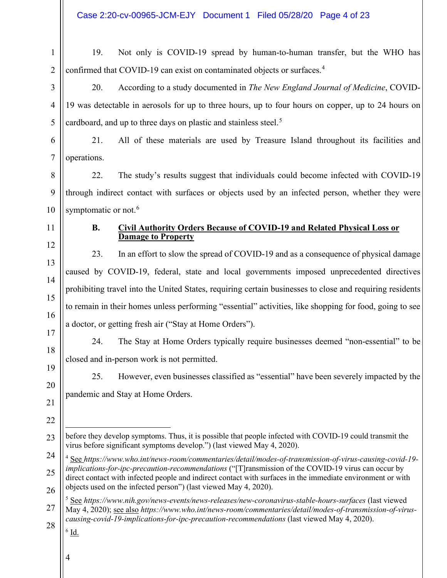1 2 19. Not only is COVID-19 spread by human-to-human transfer, but the WHO has confirmed that COVID-19 can exist on contaminated objects or surfaces.<sup>[4](#page-3-0)</sup>

20. According to a study documented in *The New England Journal of Medicine*, COVID-19 was detectable in aerosols for up to three hours, up to four hours on copper, up to 24 hours on cardboard, and up to three days on plastic and stainless steel.<sup>[5](#page-3-1)</sup>

21. All of these materials are used by Treasure Island throughout its facilities and operations.

8 9 10 22. The study's results suggest that individuals could become infected with COVID-19 through indirect contact with surfaces or objects used by an infected person, whether they were symptomatic or not.<sup>[6](#page-3-2)</sup>

11

3

4

5

6

7

12

13

14

15

16

19

20

21

#### **B. Civil Authority Orders Because of COVID-19 and Related Physical Loss or Damage to Property**

23. In an effort to slow the spread of COVID-19 and as a consequence of physical damage caused by COVID-19, federal, state and local governments imposed unprecedented directives prohibiting travel into the United States, requiring certain businesses to close and requiring residents to remain in their homes unless performing "essential" activities, like shopping for food, going to see a doctor, or getting fresh air ("Stay at Home Orders").

17 18 24. The Stay at Home Orders typically require businesses deemed "non-essential" to be closed and in-person work is not permitted.

25. However, even businesses classified as "essential" have been severely impacted by the pandemic and Stay at Home Orders.

22

<span id="page-3-0"></span>24 25 26 <sup>4</sup> See *https://www.who.int/news-room/commentaries/detail/modes-of-transmission-of-virus-causing-covid-19 implications-for-ipc-precaution-recommendations* ("[T]ransmission of the COVID-19 virus can occur by direct contact with infected people and indirect contact with surfaces in the immediate environment or with objects used on the infected person") (last viewed May 4, 2020).

<span id="page-3-2"></span><span id="page-3-1"></span>27 28 <sup>5</sup> See *https://www.nih.gov/news-events/news-releases/new-coronavirus-stable-hours-surfaces* (last viewed May 4, 2020); see also *https://www.who.int/news-room/commentaries/detail/modes-of-transmission-of-viruscausing-covid-19-implications-for-ipc-precaution-recommendations* (last viewed May 4, 2020).

 $^6$  Id.

<sup>23</sup> before they develop symptoms. Thus, it is possible that people infected with COVID-19 could transmit the virus before significant symptoms develop.") (last viewed May 4, 2020).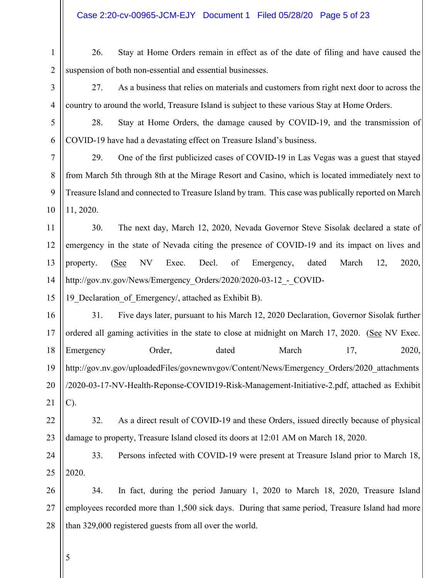#### Case 2:20-cv-00965-JCM-EJY Document 1 Filed 05/28/20 Page 5 of 23

1 2 26. Stay at Home Orders remain in effect as of the date of filing and have caused the suspension of both non-essential and essential businesses.

27. As a business that relies on materials and customers from right next door to across the country to around the world, Treasure Island is subject to these various Stay at Home Orders.

28. Stay at Home Orders, the damage caused by COVID-19, and the transmission of COVID-19 have had a devastating effect on Treasure Island's business.

10 29. One of the first publicized cases of COVID-19 in Las Vegas was a guest that stayed from March 5th through 8th at the Mirage Resort and Casino, which is located immediately next to Treasure Island and connected to Treasure Island by tram. This case was publically reported on March 11, 2020.

11 12 13 14 30. The next day, March 12, 2020, Nevada Governor Steve Sisolak declared a state of emergency in the state of Nevada citing the presence of COVID-19 and its impact on lives and property. (See NV Exec. Decl. of Emergency, dated March 12, 2020, http://gov.nv.gov/News/Emergency Orders/2020/2020-03-12 - COVID-

15 19 Declaration of Emergency/, attached as Exhibit B).

16 17 18 19 20 21 31. Five days later, pursuant to his March 12, 2020 Declaration, Governor Sisolak further ordered all gaming activities in the state to close at midnight on March 17, 2020. (See NV Exec. Emergency Order, dated March 17, 2020, http://gov.nv.gov/uploadedFiles/govnewnvgov/Content/News/Emergency\_Orders/2020\_attachments /2020-03-17-NV-Health-Reponse-COVID19-Risk-Management-Initiative-2.pdf, attached as Exhibit C).

22 23 32. As a direct result of COVID-19 and these Orders, issued directly because of physical damage to property, Treasure Island closed its doors at 12:01 AM on March 18, 2020.

24 25 33. Persons infected with COVID-19 were present at Treasure Island prior to March 18, 2020.

26 27 28 34. In fact, during the period January 1, 2020 to March 18, 2020, Treasure Island employees recorded more than 1,500 sick days. During that same period, Treasure Island had more than 329,000 registered guests from all over the world.

5

3

4

5

6

7

8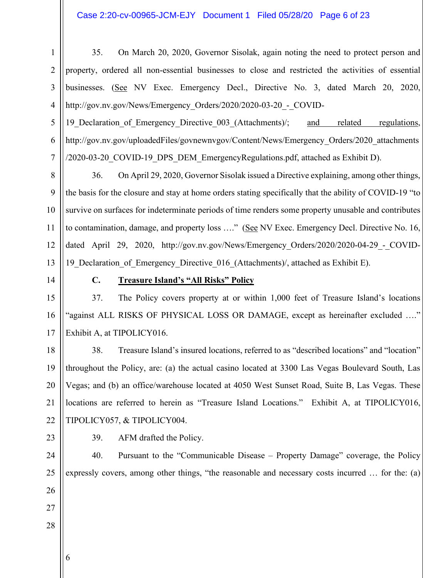#### Case 2:20-cv-00965-JCM-EJY Document 1 Filed 05/28/20 Page 6 of 23

1 2 3 4 35. On March 20, 2020, Governor Sisolak, again noting the need to protect person and property, ordered all non-essential businesses to close and restricted the activities of essential businesses. (See NV Exec. Emergency Decl., Directive No. 3, dated March 20, 2020, http://gov.nv.gov/News/Emergency\_Orders/2020/2020-03-20\_-\_COVID-

19 Declaration of Emergency Directive 003 (Attachments)/; and related regulations, http://gov.nv.gov/uploadedFiles/govnewnvgov/Content/News/Emergency\_Orders/2020\_attachments /2020-03-20\_COVID-19\_DPS\_DEM\_EmergencyRegulations.pdf, attached as Exhibit D).

36. On April 29, 2020, Governor Sisolak issued a Directive explaining, among other things, the basis for the closure and stay at home orders stating specifically that the ability of COVID-19 "to survive on surfaces for indeterminate periods of time renders some property unusable and contributes to contamination, damage, and property loss …." (See NV Exec. Emergency Decl. Directive No. 16, dated April 29, 2020, http://gov.nv.gov/News/Emergency Orders/2020/2020-04-29 - COVID-19 Declaration of Emergency Directive 016 (Attachments)/, attached as Exhibit E).

5

6

7

8

9

10

11

12

13

14

#### **C. Treasure Island's "All Risks" Policy**

15 16 17 37. The Policy covers property at or within 1,000 feet of Treasure Island's locations "against ALL RISKS OF PHYSICAL LOSS OR DAMAGE, except as hereinafter excluded …." Exhibit A, at TIPOLICY016.

18 19 20 21 22 38. Treasure Island's insured locations, referred to as "described locations" and "location" throughout the Policy, are: (a) the actual casino located at 3300 Las Vegas Boulevard South, Las Vegas; and (b) an office/warehouse located at 4050 West Sunset Road, Suite B, Las Vegas. These locations are referred to herein as "Treasure Island Locations." Exhibit A, at TIPOLICY016, TIPOLICY057, & TIPOLICY004.

23

39. AFM drafted the Policy.

24 25 40. Pursuant to the "Communicable Disease – Property Damage" coverage, the Policy expressly covers, among other things, "the reasonable and necessary costs incurred ... for the: (a)

- 26 27
- 28
- 6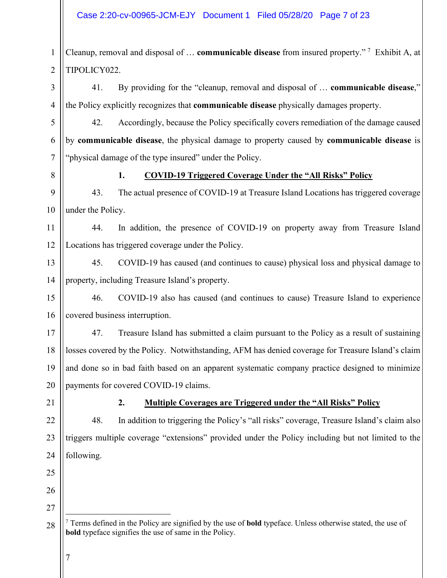#### Case 2:20-cv-00965-JCM-EJY Document 1 Filed 05/28/20 Page 7 of 23

1 2 Cleanup, removal and disposal of … **communicable disease** from insured property." [7](#page-6-0) Exhibit A, at TIPOLICY022.

3 4 41. By providing for the "cleanup, removal and disposal of … **communicable disease**," the Policy explicitly recognizes that **communicable disease** physically damages property.

42. Accordingly, because the Policy specifically covers remediation of the damage caused by **communicable disease**, the physical damage to property caused by **communicable disease** is "physical damage of the type insured" under the Policy.

8

5

6

7

#### **1. COVID-19 Triggered Coverage Under the "All Risks" Policy**

9 10 43. The actual presence of COVID-19 at Treasure Island Locations has triggered coverage under the Policy.

11 12 44. In addition, the presence of COVID-19 on property away from Treasure Island Locations has triggered coverage under the Policy.

13 14 45. COVID-19 has caused (and continues to cause) physical loss and physical damage to property, including Treasure Island's property.

15 16 46. COVID-19 also has caused (and continues to cause) Treasure Island to experience covered business interruption.

17 18 19 20 47. Treasure Island has submitted a claim pursuant to the Policy as a result of sustaining losses covered by the Policy. Notwithstanding, AFM has denied coverage for Treasure Island's claim and done so in bad faith based on an apparent systematic company practice designed to minimize payments for covered COVID-19 claims.

21

22

23

24

## **2. Multiple Coverages are Triggered under the "All Risks" Policy**

48. In addition to triggering the Policy's "all risks" coverage, Treasure Island's claim also triggers multiple coverage "extensions" provided under the Policy including but not limited to the following.

- 25
- 27

26

<span id="page-6-0"></span><sup>28</sup> <sup>7</sup> Terms defined in the Policy are signified by the use of **bold** typeface. Unless otherwise stated, the use of **bold** typeface signifies the use of same in the Policy.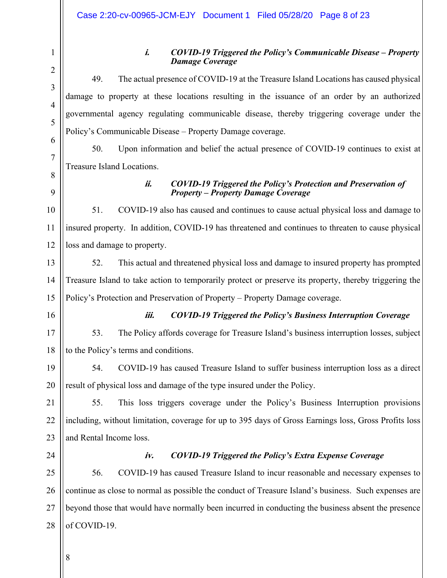1

#### **i.** *COVID-19 Triggered the Policy's Communicable Disease – Property Damage Coverage*

49. The actual presence of COVID-19 at the Treasure Island Locations has caused physical damage to property at these locations resulting in the issuance of an order by an authorized governmental agency regulating communicable disease, thereby triggering coverage under the Policy's Communicable Disease – Property Damage coverage.

50. Upon information and belief the actual presence of COVID-19 continues to exist at Treasure Island Locations.

9

#### **ii.** *COVID-19 Triggered the Policy's Protection and Preservation of Property – Property Damage Coverage*

10 11 12 51. COVID-19 also has caused and continues to cause actual physical loss and damage to insured property. In addition, COVID-19 has threatened and continues to threaten to cause physical loss and damage to property.

13 14 15 52. This actual and threatened physical loss and damage to insured property has prompted Treasure Island to take action to temporarily protect or preserve its property, thereby triggering the Policy's Protection and Preservation of Property – Property Damage coverage.

16

# **iii.** *COVID-19 Triggered the Policy's Business Interruption Coverage*

17 18 53. The Policy affords coverage for Treasure Island's business interruption losses, subject to the Policy's terms and conditions.

19 20 54. COVID-19 has caused Treasure Island to suffer business interruption loss as a direct result of physical loss and damage of the type insured under the Policy.

21 22 23 55. This loss triggers coverage under the Policy's Business Interruption provisions including, without limitation, coverage for up to 395 days of Gross Earnings loss, Gross Profits loss and Rental Income loss.

24

## **iv.** *COVID-19 Triggered the Policy's Extra Expense Coverage*

25 26 27 28 56. COVID-19 has caused Treasure Island to incur reasonable and necessary expenses to continue as close to normal as possible the conduct of Treasure Island's business. Such expenses are beyond those that would have normally been incurred in conducting the business absent the presence of COVID-19.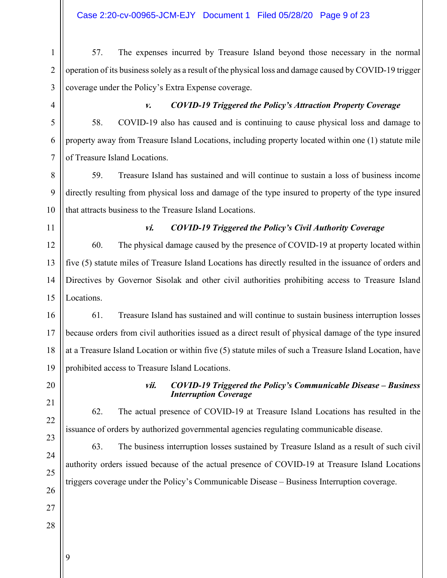#### Case 2:20-cv-00965-JCM-EJY Document 1 Filed 05/28/20 Page 9 of 23

1 2 3 57. The expenses incurred by Treasure Island beyond those necessary in the normal operation of its business solely as a result of the physical loss and damage caused by COVID-19 trigger coverage under the Policy's Extra Expense coverage.

4

5

6

7

#### **v.** *COVID-19 Triggered the Policy's Attraction Property Coverage*

58. COVID-19 also has caused and is continuing to cause physical loss and damage to property away from Treasure Island Locations, including property located within one (1) statute mile of Treasure Island Locations.

8 9 10 59. Treasure Island has sustained and will continue to sustain a loss of business income directly resulting from physical loss and damage of the type insured to property of the type insured that attracts business to the Treasure Island Locations.

11

#### **vi.** *COVID-19 Triggered the Policy's Civil Authority Coverage*

12 13 14 15 60. The physical damage caused by the presence of COVID-19 at property located within five (5) statute miles of Treasure Island Locations has directly resulted in the issuance of orders and Directives by Governor Sisolak and other civil authorities prohibiting access to Treasure Island Locations.

16 17 18 19 61. Treasure Island has sustained and will continue to sustain business interruption losses because orders from civil authorities issued as a direct result of physical damage of the type insured at a Treasure Island Location or within five (5) statute miles of such a Treasure Island Location, have prohibited access to Treasure Island Locations.

20 21

22

#### **vii.** *COVID-19 Triggered the Policy's Communicable Disease – Business Interruption Coverage*

62. The actual presence of COVID-19 at Treasure Island Locations has resulted in the issuance of orders by authorized governmental agencies regulating communicable disease.

63. The business interruption losses sustained by Treasure Island as a result of such civil authority orders issued because of the actual presence of COVID-19 at Treasure Island Locations triggers coverage under the Policy's Communicable Disease – Business Interruption coverage.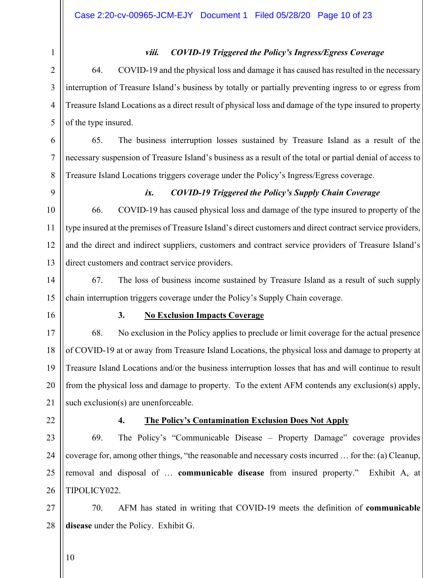#### **viii.** *COVID-19 Triggered the Policy's Ingress/Egress Coverage*

64. COVID-19 and the physical loss and damage it has caused has resulted in the necessary interruption of Treasure Island's business by totally or partially preventing ingress to or egress from Treasure Island Locations as a direct result of physical loss and damage of the type insured to property of the type insured.

65. The business interruption losses sustained by Treasure Island as a result of the necessary suspension of Treasure Island's business as a result of the total or partial denial of access to Treasure Island Locations triggers coverage under the Policy's Ingress/Egress coverage.

9

10

11

12

13

6

7

8

#### **ix.** *COVID-19 Triggered the Policy's Supply Chain Coverage*

66. COVID-19 has caused physical loss and damage of the type insured to property of the type insured at the premises of Treasure Island's direct customers and direct contract service providers, and the direct and indirect suppliers, customers and contract service providers of Treasure Island's direct customers and contract service providers.

14 15 67. The loss of business income sustained by Treasure Island as a result of such supply chain interruption triggers coverage under the Policy's Supply Chain coverage.

16

#### **3. No Exclusion Impacts Coverage**

17 18 19 20 21 68. No exclusion in the Policy applies to preclude or limit coverage for the actual presence of COVID-19 at or away from Treasure Island Locations, the physical loss and damage to property at Treasure Island Locations and/or the business interruption losses that has and will continue to result from the physical loss and damage to property. To the extent AFM contends any exclusion(s) apply, such exclusion(s) are unenforceable.

22

#### **4. The Policy's Contamination Exclusion Does Not Apply**

23 24 25 26 69. The Policy's "Communicable Disease – Property Damage" coverage provides coverage for, among other things, "the reasonable and necessary costs incurred … for the: (a) Cleanup, removal and disposal of … **communicable disease** from insured property." Exhibit A, at TIPOLICY022.

27 28 70. AFM has stated in writing that COVID-19 meets the definition of **communicable disease** under the Policy. Exhibit G.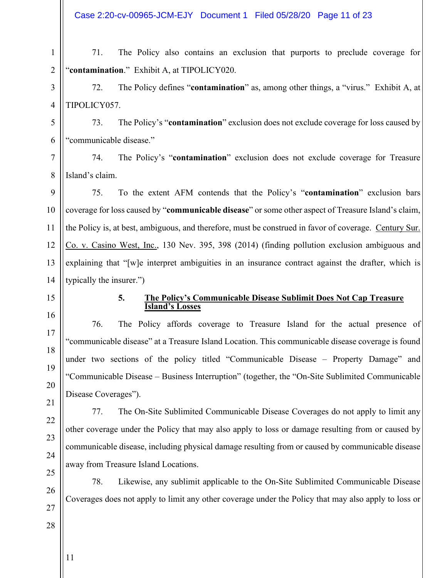Case 2:20-cv-00965-JCM-EJY Document 1 Filed 05/28/20 Page 11 of 23

71. The Policy also contains an exclusion that purports to preclude coverage for "**contamination**." Exhibit A, at TIPOLICY020.

72. The Policy defines "**contamination**" as, among other things, a "virus." Exhibit A, at TIPOLICY057.

5 6 73. The Policy's "**contamination**" exclusion does not exclude coverage for loss caused by "communicable disease."

7 8 74. The Policy's "**contamination**" exclusion does not exclude coverage for Treasure Island's claim.

9 10 11 12 13 14 75. To the extent AFM contends that the Policy's "**contamination**" exclusion bars coverage for loss caused by "**communicable disease**" or some other aspect of Treasure Island's claim, the Policy is, at best, ambiguous, and therefore, must be construed in favor of coverage. Century Sur. Co. v. Casino West, Inc., 130 Nev. 395, 398 (2014) (finding pollution exclusion ambiguous and explaining that "[w]e interpret ambiguities in an insurance contract against the drafter, which is typically the insurer.")

15

16

17

18

19

20

1

2

3

4

#### **5. The Policy's Communicable Disease Sublimit Does Not Cap Treasure Island's Losses**

76. The Policy affords coverage to Treasure Island for the actual presence of "communicable disease" at a Treasure Island Location. This communicable disease coverage is found under two sections of the policy titled "Communicable Disease – Property Damage" and "Communicable Disease – Business Interruption" (together, the "On-Site Sublimited Communicable Disease Coverages").

21 22

23

24

25

26

27

28

77. The On-Site Sublimited Communicable Disease Coverages do not apply to limit any other coverage under the Policy that may also apply to loss or damage resulting from or caused by communicable disease, including physical damage resulting from or caused by communicable disease away from Treasure Island Locations.

78. Likewise, any sublimit applicable to the On-Site Sublimited Communicable Disease Coverages does not apply to limit any other coverage under the Policy that may also apply to loss or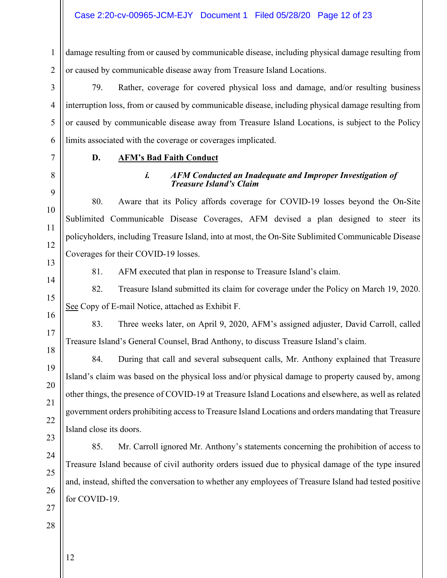1 2 damage resulting from or caused by communicable disease, including physical damage resulting from or caused by communicable disease away from Treasure Island Locations.

79. Rather, coverage for covered physical loss and damage, and/or resulting business interruption loss, from or caused by communicable disease, including physical damage resulting from or caused by communicable disease away from Treasure Island Locations, is subject to the Policy limits associated with the coverage or coverages implicated.

3

4

5

6

7

8

9

10

11

12

#### **D. AFM's Bad Faith Conduct**

#### **i.** *AFM Conducted an Inadequate and Improper Investigation of Treasure Island's Claim*

80. Aware that its Policy affords coverage for COVID-19 losses beyond the On-Site Sublimited Communicable Disease Coverages, AFM devised a plan designed to steer its policyholders, including Treasure Island, into at most, the On-Site Sublimited Communicable Disease Coverages for their COVID-19 losses.

81. AFM executed that plan in response to Treasure Island's claim.

82. Treasure Island submitted its claim for coverage under the Policy on March 19, 2020. See Copy of E-mail Notice, attached as Exhibit F.

83. Three weeks later, on April 9, 2020, AFM's assigned adjuster, David Carroll, called Treasure Island's General Counsel, Brad Anthony, to discuss Treasure Island's claim.

84. During that call and several subsequent calls, Mr. Anthony explained that Treasure Island's claim was based on the physical loss and/or physical damage to property caused by, among other things, the presence of COVID-19 at Treasure Island Locations and elsewhere, as well as related government orders prohibiting access to Treasure Island Locations and orders mandating that Treasure Island close its doors.

85. Mr. Carroll ignored Mr. Anthony's statements concerning the prohibition of access to Treasure Island because of civil authority orders issued due to physical damage of the type insured and, instead, shifted the conversation to whether any employees of Treasure Island had tested positive for COVID-19.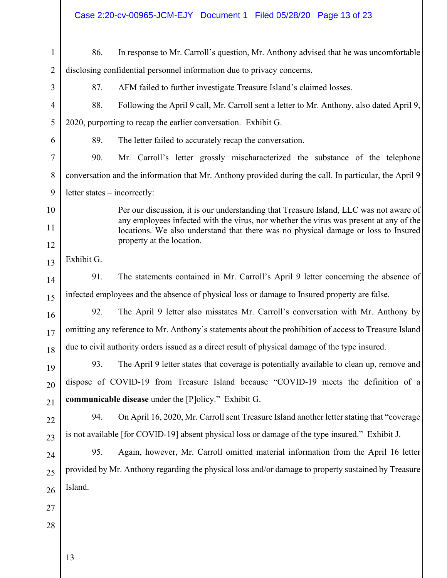|                | Case 2:20-cv-00965-JCM-EJY Document 1 Filed 05/28/20 Page 13 of 23                                                                                                                                        |
|----------------|-----------------------------------------------------------------------------------------------------------------------------------------------------------------------------------------------------------|
| $\mathbf{1}$   | In response to Mr. Carroll's question, Mr. Anthony advised that he was uncomfortable<br>86.                                                                                                               |
| $\overline{2}$ | disclosing confidential personnel information due to privacy concerns.                                                                                                                                    |
| 3              | AFM failed to further investigate Treasure Island's claimed losses.<br>87.                                                                                                                                |
| 4              | 88.<br>Following the April 9 call, Mr. Carroll sent a letter to Mr. Anthony, also dated April 9,                                                                                                          |
| 5              | 2020, purporting to recap the earlier conversation. Exhibit G.                                                                                                                                            |
| 6              | The letter failed to accurately recap the conversation.<br>89.                                                                                                                                            |
| 7              | 90.<br>Mr. Carroll's letter grossly mischaracterized the substance of the telephone                                                                                                                       |
| 8              | conversation and the information that Mr. Anthony provided during the call. In particular, the April 9                                                                                                    |
| 9              | letter states – incorrectly:                                                                                                                                                                              |
| 10             | Per our discussion, it is our understanding that Treasure Island, LLC was not aware of                                                                                                                    |
| 11             | any employees infected with the virus, nor whether the virus was present at any of the<br>locations. We also understand that there was no physical damage or loss to Insured<br>property at the location. |
| 12             |                                                                                                                                                                                                           |
| 13             | Exhibit G.                                                                                                                                                                                                |
| 14             | The statements contained in Mr. Carroll's April 9 letter concerning the absence of<br>91.                                                                                                                 |
| 15             | infected employees and the absence of physical loss or damage to Insured property are false.                                                                                                              |
| 16             | The April 9 letter also misstates Mr. Carroll's conversation with Mr. Anthony by<br>92.                                                                                                                   |
| 17             | omitting any reference to Mr. Anthony's statements about the prohibition of access to Treasure Island                                                                                                     |
| 18             | due to civil authority orders issued as a direct result of physical damage of the type insured.                                                                                                           |
| 19             | The April 9 letter states that coverage is potentially available to clean up, remove and<br>93.                                                                                                           |
| 20             | dispose of COVID-19 from Treasure Island because "COVID-19 meets the definition of a                                                                                                                      |
| 21             | communicable disease under the [P]olicy." Exhibit G.                                                                                                                                                      |
| 22             | On April 16, 2020, Mr. Carroll sent Treasure Island another letter stating that "coverage"<br>94.                                                                                                         |
| 23             | is not available [for COVID-19] absent physical loss or damage of the type insured." Exhibit J.                                                                                                           |
| 24             | Again, however, Mr. Carroll omitted material information from the April 16 letter<br>95.                                                                                                                  |
| 25             | provided by Mr. Anthony regarding the physical loss and/or damage to property sustained by Treasure                                                                                                       |
| 26             | Island.                                                                                                                                                                                                   |
| 27             |                                                                                                                                                                                                           |
| 28             |                                                                                                                                                                                                           |
|                |                                                                                                                                                                                                           |
|                | 13                                                                                                                                                                                                        |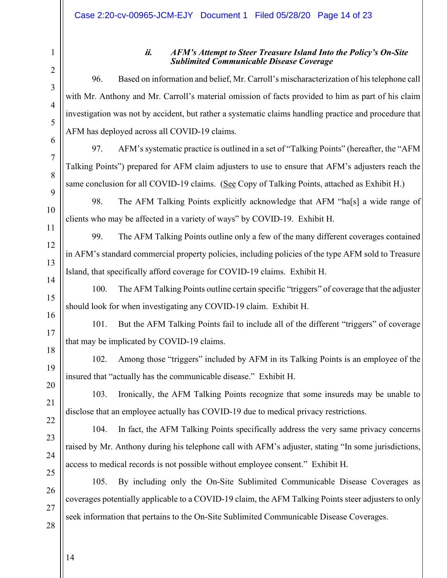21

22

23

24

25

26

27

28

#### **ii.** *AFM's Attempt to Steer Treasure Island Into the Policy's On-Site Sublimited Communicable Disease Coverage*

96. Based on information and belief, Mr. Carroll's mischaracterization of his telephone call with Mr. Anthony and Mr. Carroll's material omission of facts provided to him as part of his claim investigation was not by accident, but rather a systematic claims handling practice and procedure that AFM has deployed across all COVID-19 claims.

97. AFM's systematic practice is outlined in a set of "Talking Points" (hereafter, the "AFM Talking Points") prepared for AFM claim adjusters to use to ensure that AFM's adjusters reach the same conclusion for all COVID-19 claims. (See Copy of Talking Points, attached as Exhibit H.)

98. The AFM Talking Points explicitly acknowledge that AFM "ha[s] a wide range of clients who may be affected in a variety of ways" by COVID-19. Exhibit H.

99. The AFM Talking Points outline only a few of the many different coverages contained in AFM's standard commercial property policies, including policies of the type AFM sold to Treasure Island, that specifically afford coverage for COVID-19 claims. Exhibit H.

100. The AFM Talking Points outline certain specific "triggers" of coverage that the adjuster should look for when investigating any COVID-19 claim. Exhibit H.

101. But the AFM Talking Points fail to include all of the different "triggers" of coverage that may be implicated by COVID-19 claims.

102. Among those "triggers" included by AFM in its Talking Points is an employee of the insured that "actually has the communicable disease." Exhibit H.

103. Ironically, the AFM Talking Points recognize that some insureds may be unable to disclose that an employee actually has COVID-19 due to medical privacy restrictions.

104. In fact, the AFM Talking Points specifically address the very same privacy concerns raised by Mr. Anthony during his telephone call with AFM's adjuster, stating "In some jurisdictions, access to medical records is not possible without employee consent." Exhibit H.

105. By including only the On-Site Sublimited Communicable Disease Coverages as coverages potentially applicable to a COVID-19 claim, the AFM Talking Points steer adjusters to only seek information that pertains to the On-Site Sublimited Communicable Disease Coverages.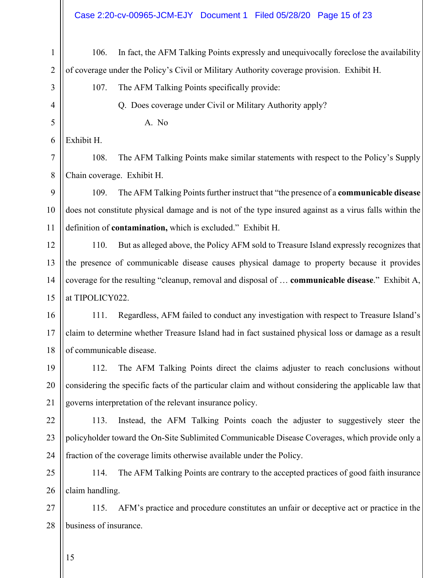# Case 2:20-cv-00965-JCM-EJY Document 1 Filed 05/28/20 Page 15 of 23

| $\mathbf{1}$   | In fact, the AFM Talking Points expressly and unequivocally foreclose the availability<br>106.         |  |
|----------------|--------------------------------------------------------------------------------------------------------|--|
| $\overline{2}$ | of coverage under the Policy's Civil or Military Authority coverage provision. Exhibit H.              |  |
| 3              | The AFM Talking Points specifically provide:<br>107.                                                   |  |
| $\overline{4}$ | Q. Does coverage under Civil or Military Authority apply?                                              |  |
| 5              | A. No                                                                                                  |  |
| 6              | Exhibit H.                                                                                             |  |
| 7              | The AFM Talking Points make similar statements with respect to the Policy's Supply<br>108.             |  |
| 8              | Chain coverage. Exhibit H.                                                                             |  |
| 9              | The AFM Talking Points further instruct that "the presence of a communicable disease<br>109.           |  |
| 10             | does not constitute physical damage and is not of the type insured against as a virus falls within the |  |
| 11             | definition of contamination, which is excluded." Exhibit H.                                            |  |
| 12             | But as alleged above, the Policy AFM sold to Treasure Island expressly recognizes that<br>110.         |  |
| 13             | the presence of communicable disease causes physical damage to property because it provides            |  |
| 14             | coverage for the resulting "cleanup, removal and disposal of  communicable disease." Exhibit A,        |  |
| 15             | at TIPOLICY022.                                                                                        |  |
| 16             | Regardless, AFM failed to conduct any investigation with respect to Treasure Island's<br>111.          |  |
| 17             | claim to determine whether Treasure Island had in fact sustained physical loss or damage as a result   |  |
| 18             | of communicable disease.                                                                               |  |
| 19             | The AFM Talking Points direct the claims adjuster to reach conclusions without<br>112.                 |  |
| 20             | considering the specific facts of the particular claim and without considering the applicable law that |  |
| 21             | governs interpretation of the relevant insurance policy.                                               |  |
| 22             | Instead, the AFM Talking Points coach the adjuster to suggestively steer the<br>113.                   |  |
| 23             | policyholder toward the On-Site Sublimited Communicable Disease Coverages, which provide only a        |  |
| 24             | fraction of the coverage limits otherwise available under the Policy.                                  |  |
| 25             | The AFM Talking Points are contrary to the accepted practices of good faith insurance<br>114.          |  |
| 26             | claim handling.                                                                                        |  |
| 27             | AFM's practice and procedure constitutes an unfair or deceptive act or practice in the<br>115.         |  |
| 28             | business of insurance.                                                                                 |  |
|                |                                                                                                        |  |

15

 $\mathbb{I}$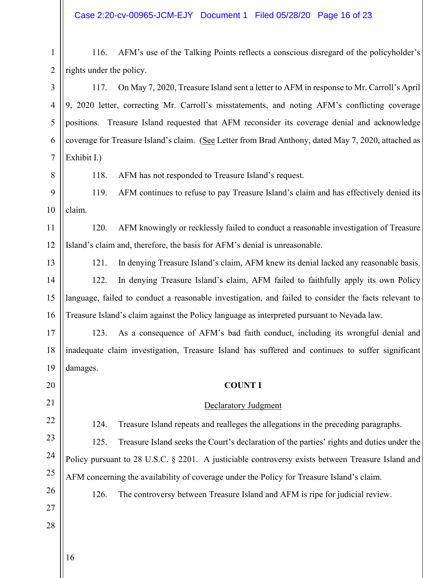Case 2:20-cv-00965-JCM-EJY Document 1 Filed 05/28/20 Page 16 of 23

| $\mathbf{1}$   | 116.                                                                                                 | AFM's use of the Talking Points reflects a conscious disregard of the policyholder's                |  |  |
|----------------|------------------------------------------------------------------------------------------------------|-----------------------------------------------------------------------------------------------------|--|--|
| $\overline{2}$ | rights under the policy.                                                                             |                                                                                                     |  |  |
| 3              | 117.                                                                                                 | On May 7, 2020, Treasure Island sent a letter to AFM in response to Mr. Carroll's April             |  |  |
| $\overline{4}$ | 9, 2020 letter, correcting Mr. Carroll's misstatements, and noting AFM's conflicting coverage        |                                                                                                     |  |  |
| 5              |                                                                                                      | positions. Treasure Island requested that AFM reconsider its coverage denial and acknowledge        |  |  |
| 6              |                                                                                                      | coverage for Treasure Island's claim. (See Letter from Brad Anthony, dated May 7, 2020, attached as |  |  |
| 7              | Exhibit I.)                                                                                          |                                                                                                     |  |  |
| 8              | 118.                                                                                                 | AFM has not responded to Treasure Island's request.                                                 |  |  |
| 9              | 119.                                                                                                 | AFM continues to refuse to pay Treasure Island's claim and has effectively denied its               |  |  |
| 10             | claim.                                                                                               |                                                                                                     |  |  |
| 11             | 120.                                                                                                 | AFM knowingly or recklessly failed to conduct a reasonable investigation of Treasure                |  |  |
| 12             |                                                                                                      | Island's claim and, therefore, the basis for AFM's denial is unreasonable.                          |  |  |
| 13             | 121.                                                                                                 | In denying Treasure Island's claim, AFM knew its denial lacked any reasonable basis.                |  |  |
| 14             | 122.                                                                                                 | In denying Treasure Island's claim, AFM failed to faithfully apply its own Policy                   |  |  |
| 15             | language, failed to conduct a reasonable investigation, and failed to consider the facts relevant to |                                                                                                     |  |  |
| 16             |                                                                                                      | Treasure Island's claim against the Policy language as interpreted pursuant to Nevada law.          |  |  |
| 17             | 123.                                                                                                 | As a consequence of AFM's bad faith conduct, including its wrongful denial and                      |  |  |
| 18             |                                                                                                      | inadequate claim investigation, Treasure Island has suffered and continues to suffer significant    |  |  |
| $19$           | damages.                                                                                             |                                                                                                     |  |  |
| 20             |                                                                                                      | <b>COUNT I</b>                                                                                      |  |  |
| 21             |                                                                                                      | <b>Declaratory Judgment</b>                                                                         |  |  |
| 22             | 124.                                                                                                 | Treasure Island repeats and realleges the allegations in the preceding paragraphs.                  |  |  |
| 23             | 125.                                                                                                 | Treasure Island seeks the Court's declaration of the parties' rights and duties under the           |  |  |
| 24             |                                                                                                      | Policy pursuant to 28 U.S.C. § 2201. A justiciable controversy exists between Treasure Island and   |  |  |
| 25             |                                                                                                      | AFM concerning the availability of coverage under the Policy for Treasure Island's claim.           |  |  |
| 26             | 126.                                                                                                 | The controversy between Treasure Island and AFM is ripe for judicial review.                        |  |  |
| 27             |                                                                                                      |                                                                                                     |  |  |
| 28             |                                                                                                      |                                                                                                     |  |  |
|                |                                                                                                      |                                                                                                     |  |  |
|                | 16                                                                                                   |                                                                                                     |  |  |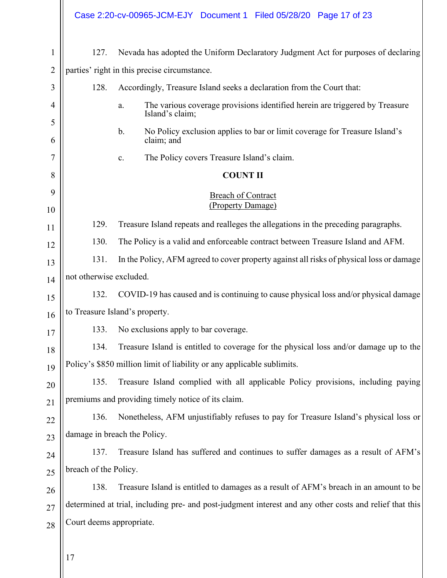|                |                                                                                                  | Case 2:20-cv-00965-JCM-EJY Document 1 Filed 05/28/20 Page 17 of 23                                        |
|----------------|--------------------------------------------------------------------------------------------------|-----------------------------------------------------------------------------------------------------------|
| $\mathbf 1$    | 127.                                                                                             | Nevada has adopted the Uniform Declaratory Judgment Act for purposes of declaring                         |
| $\overline{2}$ |                                                                                                  | parties' right in this precise circumstance.                                                              |
| 3              | 128.                                                                                             | Accordingly, Treasure Island seeks a declaration from the Court that:                                     |
| 4              |                                                                                                  | The various coverage provisions identified herein are triggered by Treasure<br>a.<br>Island's claim;      |
| 5<br>6         |                                                                                                  | No Policy exclusion applies to bar or limit coverage for Treasure Island's<br>$\mathbf b$ .<br>claim; and |
| 7              |                                                                                                  | The Policy covers Treasure Island's claim.<br>c.                                                          |
| 8              |                                                                                                  | <b>COUNT II</b>                                                                                           |
| 9              |                                                                                                  | <b>Breach of Contract</b>                                                                                 |
| 10             |                                                                                                  | (Property Damage)                                                                                         |
| 11             | 129.                                                                                             | Treasure Island repeats and realleges the allegations in the preceding paragraphs.                        |
| 12             | 130.<br>The Policy is a valid and enforceable contract between Treasure Island and AFM.          |                                                                                                           |
| 13             | 131.<br>In the Policy, AFM agreed to cover property against all risks of physical loss or damage |                                                                                                           |
| 14             | not otherwise excluded.                                                                          |                                                                                                           |
| 15             | COVID-19 has caused and is continuing to cause physical loss and/or physical damage<br>132.      |                                                                                                           |
| 16             | to Treasure Island's property.                                                                   |                                                                                                           |
| 17             |                                                                                                  | 133. No exclusions apply to bar coverage.                                                                 |
| 18             | 134.                                                                                             | Treasure Island is entitled to coverage for the physical loss and/or damage up to the                     |
| 19             |                                                                                                  | Policy's \$850 million limit of liability or any applicable sublimits.                                    |
| 20             | 135.                                                                                             | Treasure Island complied with all applicable Policy provisions, including paying                          |
| 21             |                                                                                                  | premiums and providing timely notice of its claim.                                                        |
| 22             | 136.                                                                                             | Nonetheless, AFM unjustifiably refuses to pay for Treasure Island's physical loss or                      |
| 23             | damage in breach the Policy.                                                                     |                                                                                                           |
| 24             | 137.                                                                                             | Treasure Island has suffered and continues to suffer damages as a result of AFM's                         |
| 25             | breach of the Policy.                                                                            |                                                                                                           |
| 26             | 138.                                                                                             | Treasure Island is entitled to damages as a result of AFM's breach in an amount to be                     |
| 27             |                                                                                                  | determined at trial, including pre- and post-judgment interest and any other costs and relief that this   |
| 28             | Court deems appropriate.                                                                         |                                                                                                           |
|                |                                                                                                  |                                                                                                           |

 $\parallel$  17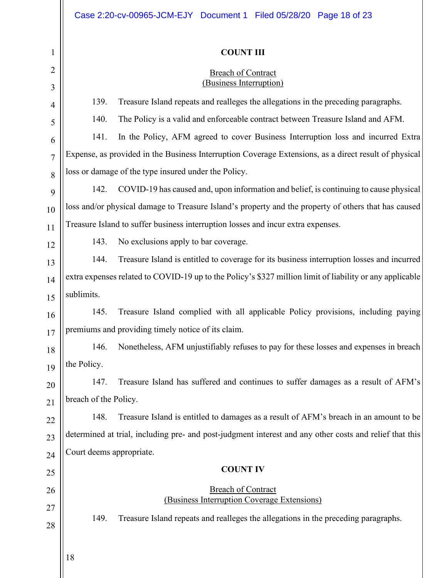## **COUNT III**

# Breach of Contract

| ∠<br>3         |                                                                                                          | Breach of Contract<br>(Business Interruption)                                                           |  |  |  |
|----------------|----------------------------------------------------------------------------------------------------------|---------------------------------------------------------------------------------------------------------|--|--|--|
| 4              | 139.                                                                                                     | Treasure Island repeats and realleges the allegations in the preceding paragraphs.                      |  |  |  |
| 5              | 140.                                                                                                     | The Policy is a valid and enforceable contract between Treasure Island and AFM.                         |  |  |  |
| 6              | 141.                                                                                                     | In the Policy, AFM agreed to cover Business Interruption loss and incurred Extra                        |  |  |  |
| $\overline{7}$ | Expense, as provided in the Business Interruption Coverage Extensions, as a direct result of physical    |                                                                                                         |  |  |  |
| 8              |                                                                                                          | loss or damage of the type insured under the Policy.                                                    |  |  |  |
| 9              | 142.                                                                                                     | COVID-19 has caused and, upon information and belief, is continuing to cause physical                   |  |  |  |
| 10             |                                                                                                          | loss and/or physical damage to Treasure Island's property and the property of others that has caused    |  |  |  |
| 11             |                                                                                                          | Treasure Island to suffer business interruption losses and incur extra expenses.                        |  |  |  |
| 12             | 143.                                                                                                     | No exclusions apply to bar coverage.                                                                    |  |  |  |
| 13             | 144.                                                                                                     | Treasure Island is entitled to coverage for its business interruption losses and incurred               |  |  |  |
| 14             | extra expenses related to COVID-19 up to the Policy's \$327 million limit of liability or any applicable |                                                                                                         |  |  |  |
| 15             | sublimits.                                                                                               |                                                                                                         |  |  |  |
| 16             | 145.                                                                                                     | Treasure Island complied with all applicable Policy provisions, including paying                        |  |  |  |
| 17             |                                                                                                          | premiums and providing timely notice of its claim.                                                      |  |  |  |
| 18             | 146.                                                                                                     | Nonetheless, AFM unjustifiably refuses to pay for these losses and expenses in breach                   |  |  |  |
| 19             | the Policy.                                                                                              |                                                                                                         |  |  |  |
| 20             | 147.                                                                                                     | Treasure Island has suffered and continues to suffer damages as a result of AFM's                       |  |  |  |
| 21             | breach of the Policy.                                                                                    |                                                                                                         |  |  |  |
| 22             | 148.                                                                                                     | Treasure Island is entitled to damages as a result of AFM's breach in an amount to be                   |  |  |  |
| 23             |                                                                                                          | determined at trial, including pre- and post-judgment interest and any other costs and relief that this |  |  |  |
| 24             | Court deems appropriate.                                                                                 |                                                                                                         |  |  |  |
| 25             |                                                                                                          | <b>COUNT IV</b>                                                                                         |  |  |  |
| 26             |                                                                                                          | <b>Breach of Contract</b>                                                                               |  |  |  |
| 27             |                                                                                                          | (Business Interruption Coverage Extensions)                                                             |  |  |  |
| 28             | 149.                                                                                                     | Treasure Island repeats and realleges the allegations in the preceding paragraphs.                      |  |  |  |
|                |                                                                                                          |                                                                                                         |  |  |  |
|                |                                                                                                          |                                                                                                         |  |  |  |

 $\parallel$  18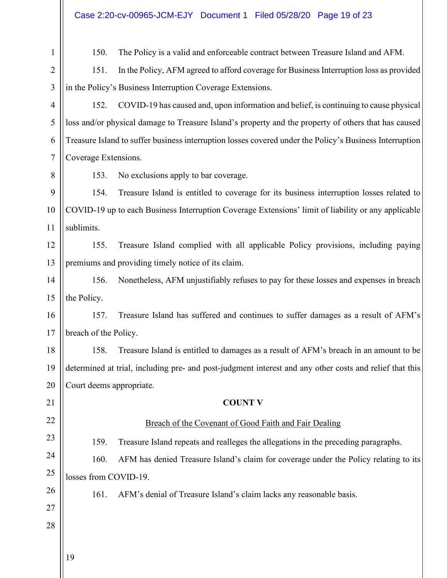| Case 2:20-cv-00965-JCM-EJY Document 1 Filed 05/28/20 Page 19 of 23 |  |  |
|--------------------------------------------------------------------|--|--|
|                                                                    |  |  |

| $\mathbf{1}$   | 150.<br>The Policy is a valid and enforceable contract between Treasure Island and AFM.                 |  |  |  |
|----------------|---------------------------------------------------------------------------------------------------------|--|--|--|
| $\overline{2}$ | In the Policy, AFM agreed to afford coverage for Business Interruption loss as provided<br>151.         |  |  |  |
| 3              | in the Policy's Business Interruption Coverage Extensions.                                              |  |  |  |
| 4              | COVID-19 has caused and, upon information and belief, is continuing to cause physical<br>152.           |  |  |  |
| 5              | loss and/or physical damage to Treasure Island's property and the property of others that has caused    |  |  |  |
| 6              | Treasure Island to suffer business interruption losses covered under the Policy's Business Interruption |  |  |  |
| 7              | Coverage Extensions.                                                                                    |  |  |  |
| 8              | 153.<br>No exclusions apply to bar coverage.                                                            |  |  |  |
| 9              | 154.<br>Treasure Island is entitled to coverage for its business interruption losses related to         |  |  |  |
| 10             | COVID-19 up to each Business Interruption Coverage Extensions' limit of liability or any applicable     |  |  |  |
| 11             | sublimits.                                                                                              |  |  |  |
| 12             | 155.<br>Treasure Island complied with all applicable Policy provisions, including paying                |  |  |  |
| 13             | premiums and providing timely notice of its claim.                                                      |  |  |  |
| 14             | 156.<br>Nonetheless, AFM unjustifiably refuses to pay for these losses and expenses in breach           |  |  |  |
| 15             | the Policy.                                                                                             |  |  |  |
| 16             | Treasure Island has suffered and continues to suffer damages as a result of AFM's<br>157.               |  |  |  |
| 17             | breach of the Policy.                                                                                   |  |  |  |
| 18             | 158.<br>Treasure Island is entitled to damages as a result of AFM's breach in an amount to be           |  |  |  |
| 19             | determined at trial, including pre- and post-judgment interest and any other costs and relief that this |  |  |  |
| 20             | Court deems appropriate.                                                                                |  |  |  |
| 21             | <b>COUNT V</b>                                                                                          |  |  |  |
| 22             | Breach of the Covenant of Good Faith and Fair Dealing                                                   |  |  |  |
| 23             | 159.<br>Treasure Island repeats and realleges the allegations in the preceding paragraphs.              |  |  |  |
| 24             | AFM has denied Treasure Island's claim for coverage under the Policy relating to its<br>160.            |  |  |  |
| 25             | losses from COVID-19.                                                                                   |  |  |  |
| 26             | 161.<br>AFM's denial of Treasure Island's claim lacks any reasonable basis.                             |  |  |  |
| 27             |                                                                                                         |  |  |  |
| 28             |                                                                                                         |  |  |  |
|                |                                                                                                         |  |  |  |
|                | 19                                                                                                      |  |  |  |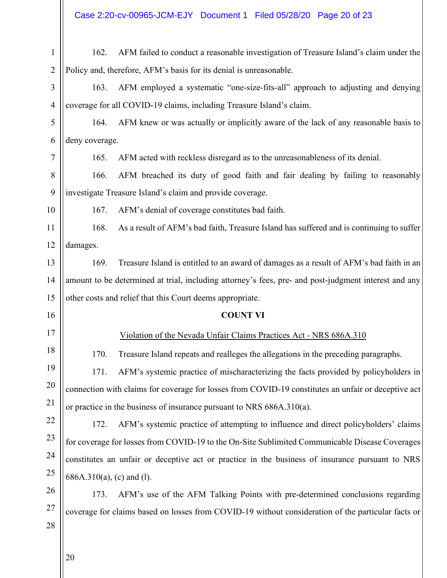| $\mathbf{1}$   | 162.                         | AFM failed to conduct a reasonable investigation of Treasure Island's claim under the                |
|----------------|------------------------------|------------------------------------------------------------------------------------------------------|
| $\overline{2}$ |                              | Policy and, therefore, AFM's basis for its denial is unreasonable.                                   |
| 3              | 163.                         | AFM employed a systematic "one-size-fits-all" approach to adjusting and denying                      |
| $\overline{4}$ |                              | coverage for all COVID-19 claims, including Treasure Island's claim.                                 |
| 5              | 164.                         | AFM knew or was actually or implicitly aware of the lack of any reasonable basis to                  |
| 6              | deny coverage.               |                                                                                                      |
| 7              | 165.                         | AFM acted with reckless disregard as to the unreasonableness of its denial.                          |
| 8              | 166.                         | AFM breached its duty of good faith and fair dealing by failing to reasonably                        |
| 9              |                              | investigate Treasure Island's claim and provide coverage.                                            |
| 10             | 167.                         | AFM's denial of coverage constitutes bad faith.                                                      |
| 11             | 168.                         | As a result of AFM's bad faith, Treasure Island has suffered and is continuing to suffer             |
| 12             | damages.                     |                                                                                                      |
| 13             | 169.                         | Treasure Island is entitled to an award of damages as a result of AFM's bad faith in an              |
| 14             |                              | amount to be determined at trial, including attorney's fees, pre- and post-judgment interest and any |
| 15             |                              | other costs and relief that this Court deems appropriate.                                            |
| 16             |                              | <b>COUNT VI</b>                                                                                      |
| 17             |                              | Violation of the Nevada Unfair Claims Practices Act - NRS 686A.310                                   |
| 18             | 170.                         | Treasure Island repeats and realleges the allegations in the preceding paragraphs.                   |
| 19             | 171.                         | AFM's systemic practice of mischaracterizing the facts provided by policyholders in                  |
| 20             |                              | connection with claims for coverage for losses from COVID-19 constitutes an unfair or deceptive act  |
| 21             |                              | or practice in the business of insurance pursuant to NRS $686A.310(a)$ .                             |
| 22             | 172.                         | AFM's systemic practice of attempting to influence and direct policyholders' claims                  |
| 23             |                              | for coverage for losses from COVID-19 to the On-Site Sublimited Communicable Disease Coverages       |
| 24             |                              | constitutes an unfair or deceptive act or practice in the business of insurance pursuant to NRS      |
| 25             | $686A.310(a)$ , (c) and (1). |                                                                                                      |
| 26             | 173.                         | AFM's use of the AFM Talking Points with pre-determined conclusions regarding                        |
| 27             |                              | coverage for claims based on losses from COVID-19 without consideration of the particular facts or   |
| 28             |                              |                                                                                                      |
|                |                              |                                                                                                      |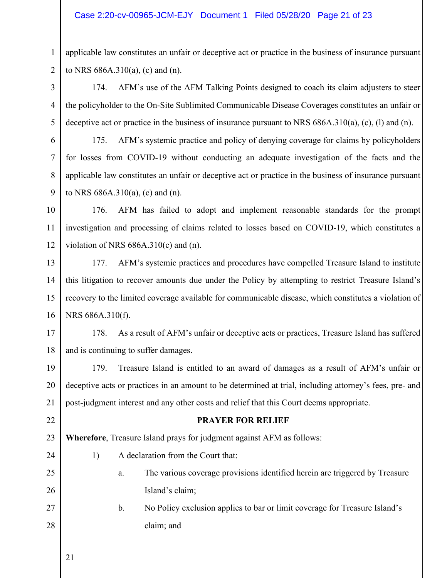#### Case 2:20-cv-00965-JCM-EJY Document 1 Filed 05/28/20 Page 21 of 23

applicable law constitutes an unfair or deceptive act or practice in the business of insurance pursuant to NRS 686A.310(a), (c) and (n).

174. AFM's use of the AFM Talking Points designed to coach its claim adjusters to steer the policyholder to the On-Site Sublimited Communicable Disease Coverages constitutes an unfair or deceptive act or practice in the business of insurance pursuant to NRS 686A.310(a), (c), (l) and (n).

175. AFM's systemic practice and policy of denying coverage for claims by policyholders for losses from COVID-19 without conducting an adequate investigation of the facts and the applicable law constitutes an unfair or deceptive act or practice in the business of insurance pursuant to NRS 686A.310(a), (c) and (n).

10 11 12 176. AFM has failed to adopt and implement reasonable standards for the prompt investigation and processing of claims related to losses based on COVID-19, which constitutes a violation of NRS  $686A.310(c)$  and (n).

13 14 15 16 177. AFM's systemic practices and procedures have compelled Treasure Island to institute this litigation to recover amounts due under the Policy by attempting to restrict Treasure Island's recovery to the limited coverage available for communicable disease, which constitutes a violation of NRS 686A.310(f).

17 18 178. As a result of AFM's unfair or deceptive acts or practices, Treasure Island has suffered and is continuing to suffer damages.

19 20 21 179. Treasure Island is entitled to an award of damages as a result of AFM's unfair or deceptive acts or practices in an amount to be determined at trial, including attorney's fees, pre- and post-judgment interest and any other costs and relief that this Court deems appropriate.

#### **PRAYER FOR RELIEF**

23 **Wherefore**, Treasure Island prays for judgment against AFM as follows:

- 1) A declaration from the Court that:
	- a. The various coverage provisions identified herein are triggered by Treasure Island's claim;
- b. No Policy exclusion applies to bar or limit coverage for Treasure Island's claim; and
- 21

22

24

25

26

27

28

1

2

3

4

5

6

7

8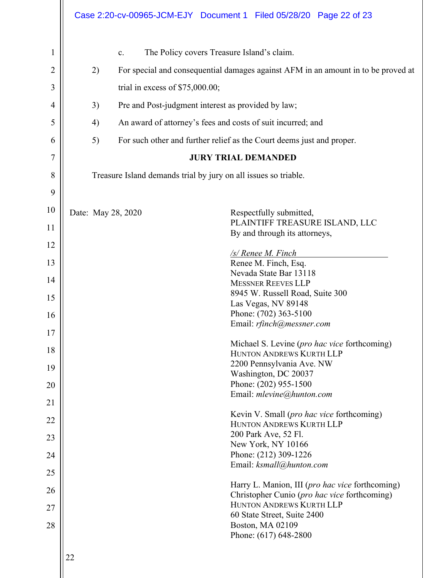|                |                                                                                         | Case 2:20-cv-00965-JCM-EJY Document 1 Filed 05/28/20 Page 22 of 23       |  |  |
|----------------|-----------------------------------------------------------------------------------------|--------------------------------------------------------------------------|--|--|
| $\mathbf 1$    | $\mathbf{c}$ .                                                                          | The Policy covers Treasure Island's claim.                               |  |  |
| $\overline{2}$ | For special and consequential damages against AFM in an amount in to be proved at<br>2) |                                                                          |  |  |
| 3              | trial in excess of $$75,000.00;$                                                        |                                                                          |  |  |
| 4              | 3)                                                                                      | Pre and Post-judgment interest as provided by law;                       |  |  |
| 5              | An award of attorney's fees and costs of suit incurred; and<br>4)                       |                                                                          |  |  |
| 6              | 5)                                                                                      | For such other and further relief as the Court deems just and proper.    |  |  |
| 7              | <b>JURY TRIAL DEMANDED</b>                                                              |                                                                          |  |  |
| 8              | Treasure Island demands trial by jury on all issues so triable.                         |                                                                          |  |  |
| 9              |                                                                                         |                                                                          |  |  |
| 10             | Date: May 28, 2020                                                                      | Respectfully submitted,                                                  |  |  |
| 11             |                                                                                         | PLAINTIFF TREASURE ISLAND, LLC<br>By and through its attorneys,          |  |  |
| 12             |                                                                                         |                                                                          |  |  |
| 13             |                                                                                         | /s/ Renee M. Finch<br>Renee M. Finch, Esq.                               |  |  |
|                |                                                                                         | Nevada State Bar 13118                                                   |  |  |
| 14             |                                                                                         | <b>MESSNER REEVES LLP</b>                                                |  |  |
| 15             |                                                                                         | 8945 W. Russell Road, Suite 300                                          |  |  |
|                |                                                                                         | Las Vegas, NV 89148<br>Phone: (702) 363-5100                             |  |  |
| 16             |                                                                                         | Email: rfinch@messner.com                                                |  |  |
| 17             |                                                                                         |                                                                          |  |  |
| 18             |                                                                                         | Michael S. Levine ( <i>pro hac vice</i> forthcoming)                     |  |  |
|                |                                                                                         | HUNTON ANDREWS KURTH LLP                                                 |  |  |
| 19             |                                                                                         | 2200 Pennsylvania Ave. NW<br>Washington, DC 20037                        |  |  |
| 20             |                                                                                         | Phone: (202) 955-1500                                                    |  |  |
|                |                                                                                         | Email: mlevine@hunton.com                                                |  |  |
| 21             |                                                                                         |                                                                          |  |  |
| 22             |                                                                                         | Kevin V. Small (pro hac vice forthcoming)<br>HUNTON ANDREWS KURTH LLP    |  |  |
|                |                                                                                         | 200 Park Ave, 52 Fl.                                                     |  |  |
| 23             |                                                                                         | New York, NY 10166                                                       |  |  |
| 24             |                                                                                         | Phone: (212) 309-1226                                                    |  |  |
| 25             |                                                                                         | Email: ksmall@hunton.com                                                 |  |  |
| 26             |                                                                                         | Harry L. Manion, III (pro hac vice forthcoming)                          |  |  |
|                |                                                                                         | Christopher Cunio (pro hac vice forthcoming)<br>HUNTON ANDREWS KURTH LLP |  |  |
| 27             |                                                                                         | 60 State Street, Suite 2400                                              |  |  |
| 28             |                                                                                         | Boston, MA 02109                                                         |  |  |
|                |                                                                                         | Phone: (617) 648-2800                                                    |  |  |
|                | 22                                                                                      |                                                                          |  |  |